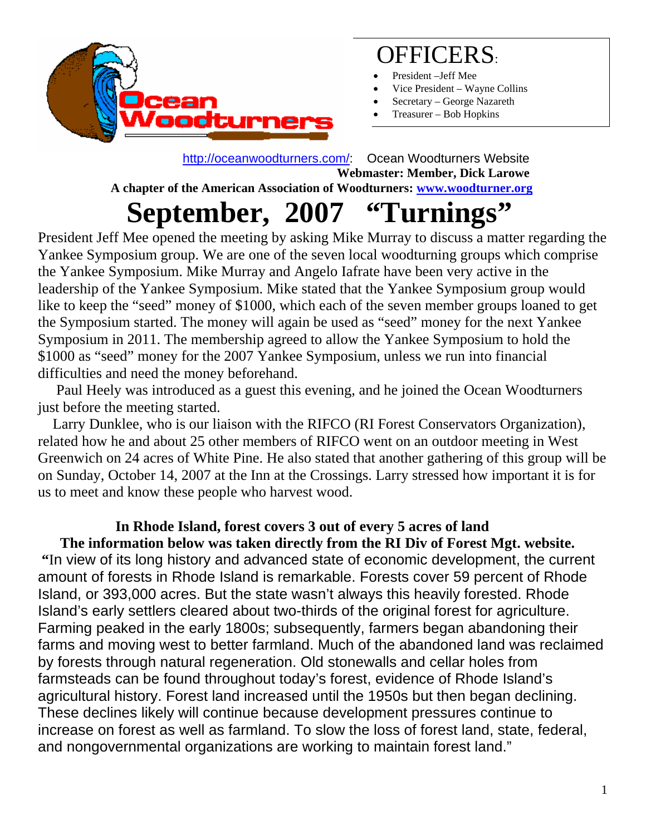

# OFFICERS:

- President –Jeff Mee
- Vice President Wayne Collins
- Secretary George Nazareth
- Treasurer Bob Hopkins

 <http://oceanwoodturners.com/>: Ocean Woodturners Website **Webmaster: Member, Dick Larowe A chapter of the American Association of Woodturners: [www.woodturner.org](http://www.woodturner.org/)** 

# **September, 2007 "Turnings"**

President Jeff Mee opened the meeting by asking Mike Murray to discuss a matter regarding the Yankee Symposium group. We are one of the seven local woodturning groups which comprise the Yankee Symposium. Mike Murray and Angelo Iafrate have been very active in the leadership of the Yankee Symposium. Mike stated that the Yankee Symposium group would like to keep the "seed" money of \$1000, which each of the seven member groups loaned to get the Symposium started. The money will again be used as "seed" money for the next Yankee Symposium in 2011. The membership agreed to allow the Yankee Symposium to hold the \$1000 as "seed" money for the 2007 Yankee Symposium, unless we run into financial difficulties and need the money beforehand.

 Paul Heely was introduced as a guest this evening, and he joined the Ocean Woodturners just before the meeting started.

Larry Dunklee, who is our liaison with the RIFCO (RI Forest Conservators Organization), related how he and about 25 other members of RIFCO went on an outdoor meeting in West Greenwich on 24 acres of White Pine. He also stated that another gathering of this group will be on Sunday, October 14, 2007 at the Inn at the Crossings. Larry stressed how important it is for us to meet and know these people who harvest wood.

#### **In Rhode Island, forest covers 3 out of every 5 acres of land**

 **The information below was taken directly from the RI Div of Forest Mgt. website. "**In view of its long history and advanced state of economic development, the current amount of forests in Rhode Island is remarkable. Forests cover 59 percent of Rhode Island, or 393,000 acres. But the state wasn't always this heavily forested. Rhode Island's early settlers cleared about two-thirds of the original forest for agriculture. Farming peaked in the early 1800s; subsequently, farmers began abandoning their farms and moving west to better farmland. Much of the abandoned land was reclaimed by forests through natural regeneration. Old stonewalls and cellar holes from farmsteads can be found throughout today's forest, evidence of Rhode Island's agricultural history. Forest land increased until the 1950s but then began declining. These declines likely will continue because development pressures continue to increase on forest as well as farmland. To slow the loss of forest land, state, federal, and nongovernmental organizations are working to maintain forest land."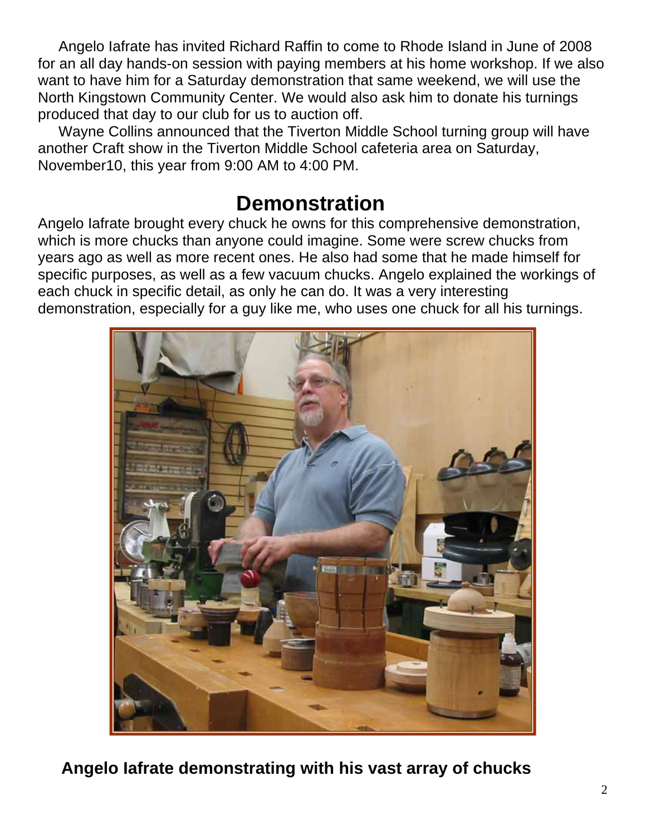Angelo Iafrate has invited Richard Raffin to come to Rhode Island in June of 2008 for an all day hands-on session with paying members at his home workshop. If we also want to have him for a Saturday demonstration that same weekend, we will use the North Kingstown Community Center. We would also ask him to donate his turnings produced that day to our club for us to auction off.

 Wayne Collins announced that the Tiverton Middle School turning group will have another Craft show in the Tiverton Middle School cafeteria area on Saturday, November10, this year from 9:00 AM to 4:00 PM.

#### **Demonstration**

Angelo Iafrate brought every chuck he owns for this comprehensive demonstration, which is more chucks than anyone could imagine. Some were screw chucks from years ago as well as more recent ones. He also had some that he made himself for specific purposes, as well as a few vacuum chucks. Angelo explained the workings of each chuck in specific detail, as only he can do. It was a very interesting demonstration, especially for a guy like me, who uses one chuck for all his turnings.



**Angelo Iafrate demonstrating with his vast array of chucks**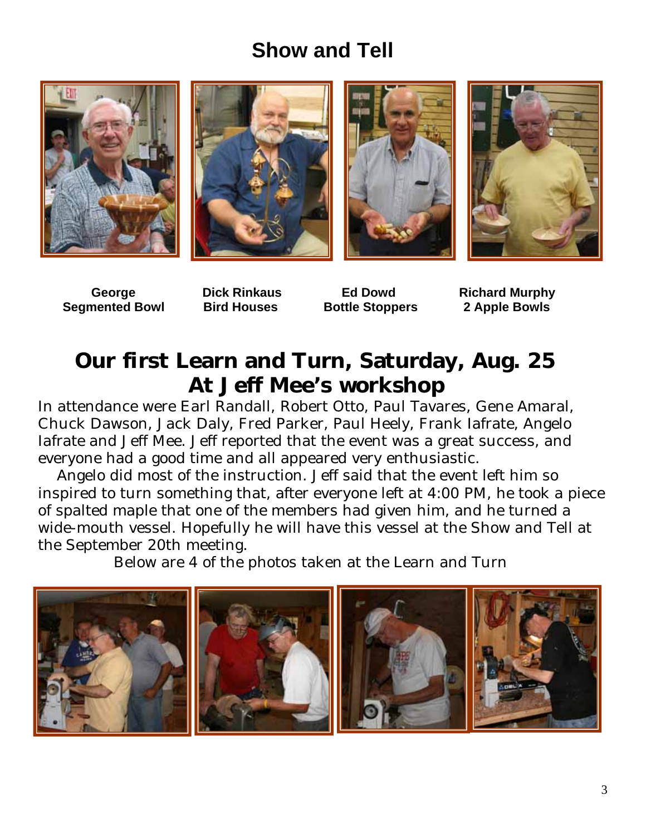## **Show and Tell**









 **Segmented Bowl Bird Houses Bottle Stoppers 2 Apple Bowls** 

**George Dick Rinkaus Ed Dowd Richard Murphy**

## **Our first Learn and Turn, Saturday, Aug. 25 At Jeff Mee's workshop**

In attendance were Earl Randall, Robert Otto, Paul Tavares, Gene Amaral, Chuck Dawson, Jack Daly, Fred Parker, Paul Heely, Frank Iafrate, Angelo Iafrate and Jeff Mee. Jeff reported that the event was a great success, and everyone had a good time and all appeared very enthusiastic.

 Angelo did most of the instruction. Jeff said that the event left him so inspired to turn something that, after everyone left at 4:00 PM, he took a piece of spalted maple that one of the members had given him, and he turned a wide-mouth vessel. Hopefully he will have this vessel at the Show and Tell at the September 20th meeting.

Below are 4 of the photos taken at the Learn and Turn